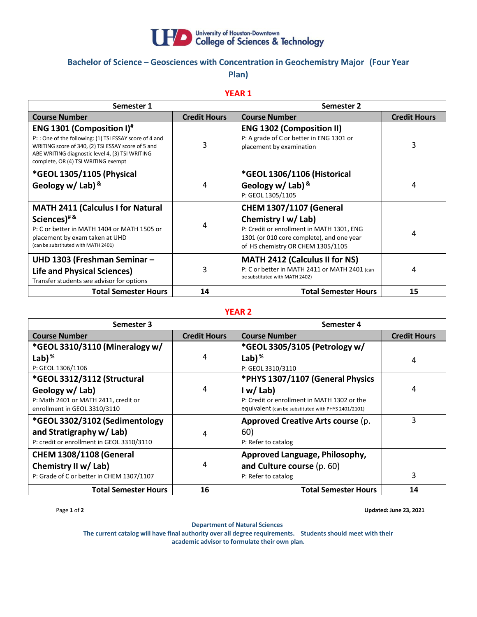

# **Bachelor of Science – Geosciences with Concentration in Geochemistry Major (Four Year Plan)**

**YEAR 1**

| Semester 1                                                                                                                                                                                                                                  |                     | <b>Semester 2</b>                                                                                                                                                                    |                     |
|---------------------------------------------------------------------------------------------------------------------------------------------------------------------------------------------------------------------------------------------|---------------------|--------------------------------------------------------------------------------------------------------------------------------------------------------------------------------------|---------------------|
| <b>Course Number</b>                                                                                                                                                                                                                        | <b>Credit Hours</b> | <b>Course Number</b>                                                                                                                                                                 | <b>Credit Hours</b> |
| <b>ENG 1301 (Composition I)</b> #<br>P:: One of the following: (1) TSI ESSAY score of 4 and<br>WRITING score of 340, (2) TSI ESSAY score of 5 and<br>ABE WRITING diagnostic level 4, (3) TSI WRITING<br>complete, OR (4) TSI WRITING exempt | 3                   | <b>ENG 1302 (Composition II)</b><br>P: A grade of C or better in ENG 1301 or<br>placement by examination                                                                             | 3                   |
| *GEOL 1305/1105 (Physical<br>Geology w/ Lab) $8$                                                                                                                                                                                            | 4                   | *GEOL 1306/1106 (Historical<br>Geology w/ Lab) $8$<br>P: GEOL 1305/1105                                                                                                              | 4                   |
| <b>MATH 2411 (Calculus I for Natural</b><br>Sciences) <sup>#&amp;</sup><br>P: C or better in MATH 1404 or MATH 1505 or<br>placement by exam taken at UHD<br>(can be substituted with MATH 2401)                                             | 4                   | <b>CHEM 1307/1107 (General</b><br>Chemistry I w/ Lab)<br>P: Credit or enrollment in MATH 1301, ENG<br>1301 (or 010 core complete), and one year<br>of HS chemistry OR CHEM 1305/1105 | 4                   |
| UHD 1303 (Freshman Seminar -<br><b>Life and Physical Sciences)</b><br>Transfer students see advisor for options                                                                                                                             | 3                   | <b>MATH 2412 (Calculus II for NS)</b><br>P: C or better in MATH 2411 or MATH 2401 (can<br>be substituted with MATH 2402)                                                             | 4                   |
| <b>Total Semester Hours</b>                                                                                                                                                                                                                 | 14                  | <b>Total Semester Hours</b>                                                                                                                                                          | 15                  |

## **YEAR 2**

| Semester 3                                |                     | Semester 4                                          |                     |
|-------------------------------------------|---------------------|-----------------------------------------------------|---------------------|
| <b>Course Number</b>                      | <b>Credit Hours</b> | <b>Course Number</b>                                | <b>Credit Hours</b> |
| *GEOL 3310/3110 (Mineralogy w/            |                     | *GEOL 3305/3105 (Petrology w/                       |                     |
| Lab) $%$                                  | 4                   | Lab) $%$                                            | 4                   |
| P: GEOL 1306/1106                         |                     | P: GEOL 3310/3110                                   |                     |
| *GEOL 3312/3112 (Structural               |                     | *PHYS 1307/1107 (General Physics                    |                     |
| Geology w/ Lab)                           | 4                   | I w/Lab                                             | 4                   |
| P: Math 2401 or MATH 2411, credit or      |                     | P: Credit or enrollment in MATH 1302 or the         |                     |
| enrollment in GEOL 3310/3110              |                     | equivalent (can be substituted with PHYS 2401/2101) |                     |
| *GEOL 3302/3102 (Sedimentology            |                     | Approved Creative Arts course (p.                   | 3                   |
| and Stratigraphy w/ Lab)                  | 4                   | 60)                                                 |                     |
| P: credit or enrollment in GEOL 3310/3110 |                     | P: Refer to catalog                                 |                     |
| <b>CHEM 1308/1108 (General</b>            |                     | Approved Language, Philosophy,                      |                     |
| Chemistry II w/ Lab)                      | 4                   | and Culture course (p. 60)                          |                     |
| P: Grade of C or better in CHEM 1307/1107 |                     | P: Refer to catalog                                 | 3                   |
| <b>Total Semester Hours</b>               | 16                  | <b>Total Semester Hours</b>                         | 14                  |

Page **1** of **2 Updated: June 23, 2021**

**Department of Natural Sciences**

**The current catalog will have final authority over all degree requirements. Students should meet with their academic advisor to formulate their own plan.**